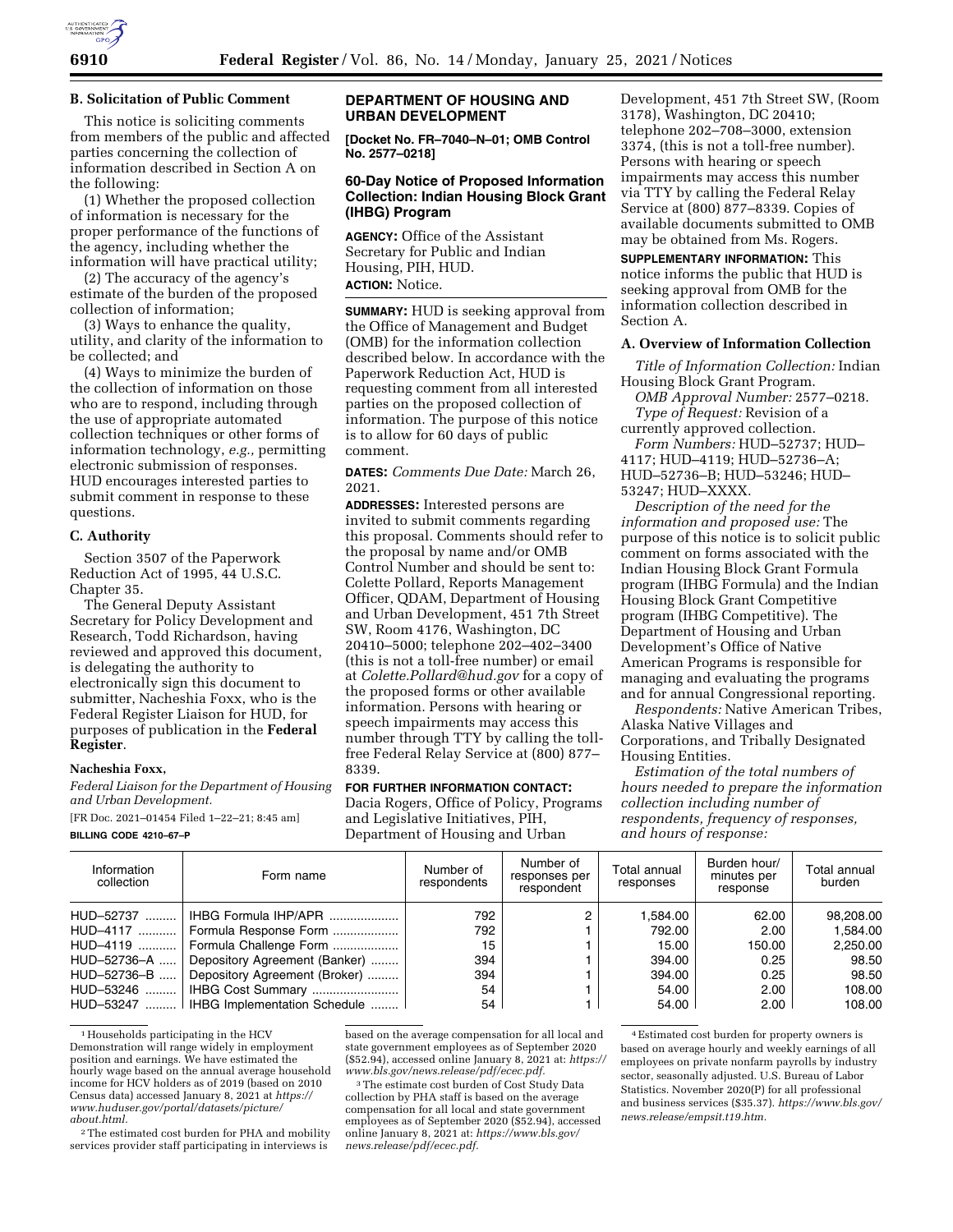

## **B. Solicitation of Public Comment**

This notice is soliciting comments from members of the public and affected parties concerning the collection of information described in Section A on the following:

(1) Whether the proposed collection of information is necessary for the proper performance of the functions of the agency, including whether the information will have practical utility;

(2) The accuracy of the agency's estimate of the burden of the proposed collection of information;

(3) Ways to enhance the quality, utility, and clarity of the information to be collected; and

(4) Ways to minimize the burden of the collection of information on those who are to respond, including through the use of appropriate automated collection techniques or other forms of information technology, *e.g.,* permitting electronic submission of responses. HUD encourages interested parties to submit comment in response to these questions.

### **C. Authority**

Section 3507 of the Paperwork Reduction Act of 1995, 44 U.S.C. Chapter 35.

The General Deputy Assistant Secretary for Policy Development and Research, Todd Richardson, having reviewed and approved this document, is delegating the authority to electronically sign this document to submitter, Nacheshia Foxx, who is the Federal Register Liaison for HUD, for purposes of publication in the **Federal Register**.

#### **Nacheshia Foxx,**

*Federal Liaison for the Department of Housing and Urban Development.* 

[FR Doc. 2021–01454 Filed 1–22–21; 8:45 am] **BILLING CODE 4210–67–P** 

## **DEPARTMENT OF HOUSING AND URBAN DEVELOPMENT**

**[Docket No. FR–7040–N–01; OMB Control No. 2577–0218]** 

# **60-Day Notice of Proposed Information Collection: Indian Housing Block Grant (IHBG) Program**

**AGENCY:** Office of the Assistant Secretary for Public and Indian Housing, PIH, HUD. **ACTION:** Notice.

**SUMMARY:** HUD is seeking approval from the Office of Management and Budget (OMB) for the information collection described below. In accordance with the Paperwork Reduction Act, HUD is requesting comment from all interested parties on the proposed collection of information. The purpose of this notice is to allow for 60 days of public comment.

**DATES:** *Comments Due Date:* March 26, 2021.

**ADDRESSES:** Interested persons are invited to submit comments regarding this proposal. Comments should refer to the proposal by name and/or OMB Control Number and should be sent to: Colette Pollard, Reports Management Officer, QDAM, Department of Housing and Urban Development, 451 7th Street SW, Room 4176, Washington, DC 20410–5000; telephone 202–402–3400 (this is not a toll-free number) or email at *[Colette.Pollard@hud.gov](mailto:Colette.Pollard@hud.gov)* for a copy of the proposed forms or other available information. Persons with hearing or speech impairments may access this number through TTY by calling the tollfree Federal Relay Service at (800) 877– 8339.

#### **FOR FURTHER INFORMATION CONTACT:**

Dacia Rogers, Office of Policy, Programs and Legislative Initiatives, PIH, Department of Housing and Urban

Development, 451 7th Street SW, (Room 3178), Washington, DC 20410; telephone 202–708–3000, extension 3374, (this is not a toll-free number). Persons with hearing or speech impairments may access this number via TTY by calling the Federal Relay Service at (800) 877–8339. Copies of available documents submitted to OMB may be obtained from Ms. Rogers.

**SUPPLEMENTARY INFORMATION:** This notice informs the public that HUD is seeking approval from OMB for the information collection described in Section A.

#### **A. Overview of Information Collection**

*Title of Information Collection:* Indian Housing Block Grant Program.

*OMB Approval Number:* 2577–0218. *Type of Request:* Revision of a

currently approved collection. *Form Numbers:* HUD–52737; HUD– 4117; HUD–4119; HUD–52736–A; HUD–52736–B; HUD–53246; HUD– 53247; HUD–XXXX.

*Description of the need for the information and proposed use:* The purpose of this notice is to solicit public comment on forms associated with the Indian Housing Block Grant Formula program (IHBG Formula) and the Indian Housing Block Grant Competitive program (IHBG Competitive). The Department of Housing and Urban Development's Office of Native American Programs is responsible for managing and evaluating the programs and for annual Congressional reporting.

*Respondents:* Native American Tribes, Alaska Native Villages and Corporations, and Tribally Designated Housing Entities.

*Estimation of the total numbers of hours needed to prepare the information collection including number of respondents, frequency of responses, and hours of response:* 

| Information<br>collection | Form name                     | Number of<br>respondents | Number of<br>responses per<br>respondent | Total annual<br>responses | Burden hour/<br>minutes per<br>response | Total annual<br>burden |
|---------------------------|-------------------------------|--------------------------|------------------------------------------|---------------------------|-----------------------------------------|------------------------|
| HUD-52737                 | IHBG Formula IHP/APR          | 792                      |                                          | 1.584.00                  | 62.00                                   | 98,208.00              |
| HUD-4117                  | Formula Response Form         | 792                      |                                          | 792.00                    | 2.00                                    | 1.584.00               |
| HUD-4119                  | Formula Challenge Form        | 15                       |                                          | 15.00                     | 150.00                                  | 2,250.00               |
| HUD-52736-A               | Depository Agreement (Banker) | 394                      |                                          | 394.00                    | 0.25                                    | 98.50                  |
| HUD-52736-B               | Depository Agreement (Broker) | 394                      |                                          | 394.00                    | 0.25                                    | 98.50                  |
| HUD-53246                 | IHBG Cost Summary             | 54                       |                                          | 54.00                     | 2.00                                    | 108.00                 |
| HUD-53247                 | IHBG Implementation Schedule  | 54                       |                                          | 54.00                     | 2.00                                    | 108.00                 |

<sup>1</sup> Households participating in the HCV Demonstration will range widely in employment position and earnings. We have estimated the hourly wage based on the annual average household income for HCV holders as of 2019 (based on 2010 Census data) accessed January 8, 2021 at *[https://](https://www.huduser.gov/portal/datasets/picture/about.html) [www.huduser.gov/portal/datasets/picture/](https://www.huduser.gov/portal/datasets/picture/about.html)  [about.html.](https://www.huduser.gov/portal/datasets/picture/about.html)* 

2The estimated cost burden for PHA and mobility services provider staff participating in interviews is

based on the average compensation for all local and state government employees as of September 2020 (\$52.94), accessed online January 8, 2021 at: *[https://](https://www.bls.gov/news.release/pdf/ecec.pdf) [www.bls.gov/news.release/pdf/ecec.pdf.](https://www.bls.gov/news.release/pdf/ecec.pdf)* 

3The estimate cost burden of Cost Study Data collection by PHA staff is based on the average compensation for all local and state government employees as of September 2020 (\$52.94), accessed online January 8, 2021 at: *[https://www.bls.gov/](https://www.bls.gov/news.release/pdf/ecec.pdf) [news.release/pdf/ecec.pdf.](https://www.bls.gov/news.release/pdf/ecec.pdf)* 

4Estimated cost burden for property owners is based on average hourly and weekly earnings of all employees on private nonfarm payrolls by industry sector, seasonally adjusted. U.S. Bureau of Labor Statistics. November 2020(P) for all professional and business services (\$35.37). *[https://www.bls.gov/](https://www.bls.gov/news.release/empsit.t19.htm)  [news.release/empsit.t19.htm.](https://www.bls.gov/news.release/empsit.t19.htm)*